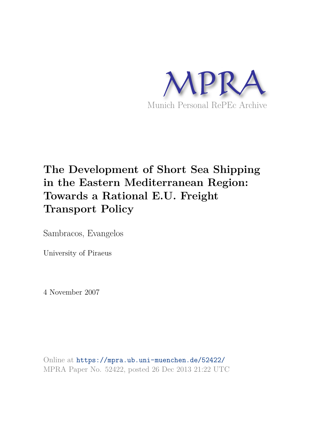

# **The Development of Short Sea Shipping in the Eastern Mediterranean Region: Towards a Rational E.U. Freight Transport Policy**

Sambracos, Evangelos

University of Piraeus

4 November 2007

Online at https://mpra.ub.uni-muenchen.de/52422/ MPRA Paper No. 52422, posted 26 Dec 2013 21:22 UTC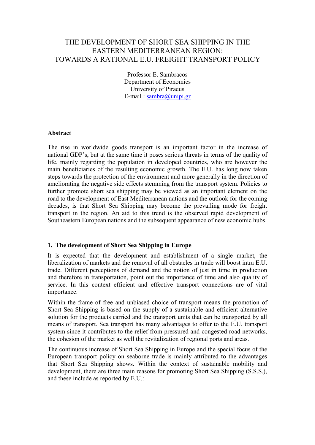## THE DEVELOPMENT OF SHORT SEA SHIPPING IN THE EASTERN MEDITERRANEAN REGION: TOWARDS A RATIONAL E.U. FREIGHT TRANSPORT POLICY

Professor E. Sambracos Department of Economics University of Piraeus E-mail : [sambra@unipi.gr](mailto:sambra@unipi.gr) 

#### **Abstract**

The rise in worldwide goods transport is an important factor in the increase of national GDP's, but at the same time it poses serious threats in terms of the quality of life, mainly regarding the population in developed countries, who are however the main beneficiaries of the resulting economic growth. The E.U. has long now taken steps towards the protection of the environment and more generally in the direction of ameliorating the negative side effects stemming from the transport system. Policies to further promote short sea shipping may be viewed as an important element on the road to the development of East Mediterranean nations and the outlook for the coming decades, is that Short Sea Shipping may become the prevailing mode for freight transport in the region. An aid to this trend is the observed rapid development of Southeastern European nations and the subsequent appearance of new economic hubs.

#### **1. The development of Short Sea Shipping in Europe**

It is expected that the development and establishment of a single market, the liberalization of markets and the removal of all obstacles in trade will boost intra E.U. trade. Different perceptions of demand and the notion of just in time in production and therefore in transportation, point out the importance of time and also quality of service. In this context efficient and effective transport connections are of vital importance.

Within the frame of free and unbiased choice of transport means the promotion of Short Sea Shipping is based on the supply of a sustainable and efficient alternative solution for the products carried and the transport units that can be transported by all means of transport. Sea transport has many advantages to offer to the E.U. transport system since it contributes to the relief from pressured and congested road networks, the cohesion of the market as well the revitalization of regional ports and areas.

The continuous increase of Short Sea Shipping in Europe and the special focus of the European transport policy on seaborne trade is mainly attributed to the advantages that Short Sea Shipping shows. Within the context of sustainable mobility and development, there are three main reasons for promoting Short Sea Shipping (S.S.S.), and these include as reported by E.U.: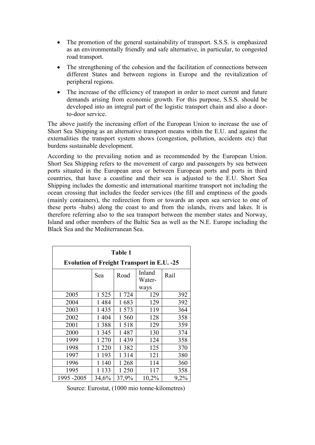- The promotion of the general sustainability of transport. S.S.S. is emphasized as an environmentally friendly and safe alternative, in particular, to congested road transport.
- The strengthening of the cohesion and the facilitation of connections between different States and between regions in Europe and the revitalization of peripheral regions.
- The increase of the efficiency of transport in order to meet current and future demands arising from economic growth. For this purpose, S.S.S. should be developed into an integral part of the logistic transport chain and also a doorto-door service.

The above justify the increasing effort of the European Union to increase the use of Short Sea Shipping as an alternative transport means within the E.U. and against the externalities the transport system shows (congestion, pollution, accidents etc) that burdens sustainable development.

According to the prevailing notion and as recommended by the European Union. Short Sea Shipping refers to the movement of cargo and passengers by sea between ports situated in the European area or between European ports and ports in third countries, that have a coastline and their sea is adjusted to the E.U. Short Sea Shipping includes the domestic and international maritime transport not including the ocean crossing that includes the feeder services (the fill and emptiness of the goods (mainly containers), the redirection from or towards an open sea service to one of these ports -hubs) along the coast to and from the islands, rivers and lakes. It is therefore referring also to the sea transport between the member states and Norway, Island and other members of the Baltic Sea as well as the N.E. Europe including the Black Sea and the Mediterranean Sea.

| Table 1                                           |         |         |                  |      |
|---------------------------------------------------|---------|---------|------------------|------|
| <b>Evolution of Freight Transport in E.U. -25</b> |         |         |                  |      |
|                                                   | Sea     | Road    | Inland<br>Water- | Rail |
|                                                   |         |         | ways             |      |
| 2005                                              | 1 5 2 5 | 1 724   | 129              | 392  |
| 2004                                              | 1484    | 1683    | 129              | 392  |
| 2003                                              | 1435    | 1 573   | 119              | 364  |
| 2002                                              | 1 4 0 4 | 1 560   | 128              | 358  |
| 2001                                              | 1 3 8 8 | 1518    | 129              | 359  |
| 2000                                              | 1 3 4 5 | 1487    | 130              | 374  |
| 1999                                              | 1 270   | 1439    | 124              | 358  |
| 1998                                              | 1 2 2 0 | 1 3 8 2 | 125              | 370  |
| 1997                                              | 1 1 9 3 | 1 3 1 4 | 121              | 380  |
| 1996                                              | 1 140   | 1 2 6 8 | 114              | 360  |
| 1995                                              | 1 1 3 3 | 1 250   | 117              | 358  |
| 1995 - 2005                                       | 34,6%   | 37,9%   | 10,2%            | 9,2% |

Source: Eurostat, (1000 mio tonne-kilometres)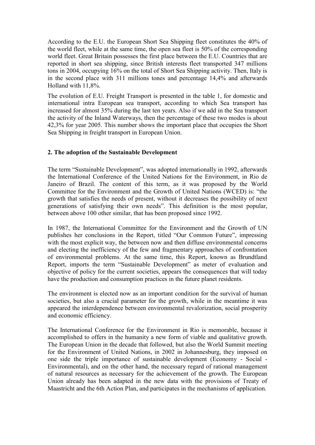According to the E.U. the European Short Sea Shipping fleet constitutes the 40% of the world fleet, while at the same time, the open sea fleet is 50% of the corresponding world fleet. Great Britain possesses the first place between the E.U. Countries that are reported in short sea shipping, since British interests fleet transported 347 millions tons in 2004, occupying 16% on the total of Short Sea Shipping activity. Then, Italy is in the second place with 311 millions tones and percentage 14,4% and afterwards Holland with 11,8%.

The evolution of E.U. Freight Transport is presented in the table 1, for domestic and international intra European sea transport, according to which Sea transport has increased for almost 35% during the last ten years. Also if we add in the Sea transport the activity of the Inland Waterways, then the percentage of these two modes is about 42,3% for year 2005. This number shows the important place that occupies the Short Sea Shipping in freight transport in European Union.

## **2. The adoption of the Sustainable Development**

The term "Sustainable Development", was adopted internationally in 1992, afterwards the International Conference of the United Nations for the Environment, in Rio de Janeiro of Brazil. The content of this term, as it was proposed by the World Committee for the Environment and the Growth of United Nations (WCED) is: "the growth that satisfies the needs of present, without it decreases the possibility of next generations of satisfying their own needs". This definition is the most popular, between above 100 other similar, that has been proposed since 1992.

In 1987, the International Committee for the Environment and the Growth of UN publishes her conclusions in the Report, titled "Our Common Future", impressing with the most explicit way, the between now and then diffuse environmental concerns and electing the inefficiency of the few and fragmentary approaches of confrontation of environmental problems. At the same time, this Report, known as Brundtland Report, imports the term "Sustainable Development" as meter of evaluation and objective of policy for the current societies, appears the consequences that will today have the production and consumption practices in the future planet residents.

The environment is elected now as an important condition for the survival of human societies, but also a crucial parameter for the growth, while in the meantime it was appeared the interdependence between environmental revalorization, social prosperity and economic efficiency.

The International Conference for the Environment in Rio is memorable, because it accomplished to offers in the humanity a new form of viable and qualitative growth. The European Union in the decade that followed, but also the World Summit meeting for the Environment of United Nations, in 2002 in Johannesburg, they imposed on one side the triple importance of sustainable development (Economy - Social - Environmental), and on the other hand, the necessary regard of rational management of natural resources as necessary for the achievement of the growth. The European Union already has been adapted in the new data with the provisions of Treaty of Maastricht and the 6th Action Plan, and participates in the mechanisms of application.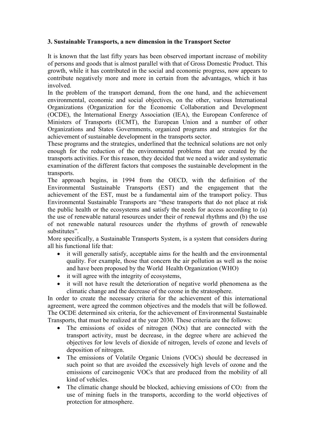## **3. Sustainable Transports, a new dimension in the Transport Sector**

It is known that the last fifty years has been observed important increase of mobility of persons and goods that is almost parallel with that of Gross Domestic Product. This growth, while it has contributed in the social and economic progress, now appears to contribute negatively more and more in certain from the advantages, which it has involved.

In the problem of the transport demand, from the one hand, and the achievement environmental, economic and social objectives, on the other, various International Organizations (Organization for the Economic Collaboration and Development (OCDE), the International Energy Association (IEA), the European Conference of Ministers of Transports (ECMT), the European Union and a number of other Organizations and States Governments, organized programs and strategies for the achievement of sustainable development in the transports sector.

These programs and the strategies, underlined that the technical solutions are not only enough for the reduction of the environmental problems that are created by the transports activities. For this reason, they decided that we need a wider and systematic examination of the different factors that composes the sustainable development in the transports.

The approach begins, in 1994 from the OECD, with the definition of the Environmental Sustainable Transports (EST) and the engagement that the achievement of the EST, must be a fundamental aim of the transport policy. Thus Environmental Sustainable Transports are "these transports that do not place at risk the public health or the ecosystems and satisfy the needs for access according to (a) the use of renewable natural resources under their of renewal rhythms and (b) the use of not renewable natural resources under the rhythms of growth of renewable substitutes".

More specifically, a Sustainable Transports System, is a system that considers during all his functional life that:

- it will generally satisfy, acceptable aims for the health and the environmental quality. For example, those that concern the air pollution as well as the noise and have been proposed by the World Health Organization (WHO)
- it will agree with the integrity of ecosystems,
- it will not have result the deterioration of negative world phenomena as the climatic change and the decrease of the ozone in the stratosphere.

In order to create the necessary criteria for the achievement of this international agreement, were agreed the common objectives and the models that will be followed. The OCDE determined six criteria, for the achievement of Environmental Sustainable Transports, that must be realized at the year 2030. These criteria are the follows:

- The emissions of oxides of nitrogen (NOx) that are connected with the transport activity, must be decrease, in the degree where are achieved the objectives for low levels of dioxide of nitrogen, levels of ozone and levels of deposition of nitrogen.
- The emissions of Volatile Organic Unions (VOCs) should be decreased in such point so that are avoided the excessively high levels of ozone and the emissions of carcinogenic VOCs that are produced from the mobility of all kind of vehicles.
- The climatic change should be blocked, achieving emissions of CO<sub>2</sub> from the use of mining fuels in the transports, according to the world objectives of protection for atmosphere.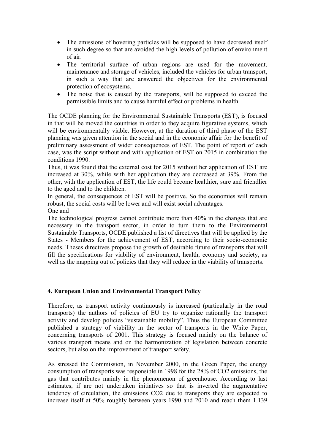- The emissions of hovering particles will be supposed to have decreased itself in such degree so that are avoided the high levels of pollution of environment of air.
- The territorial surface of urban regions are used for the movement, maintenance and storage of vehicles, included the vehicles for urban transport, in such a way that are answered the objectives for the environmental protection of ecosystems.
- The noise that is caused by the transports, will be supposed to exceed the permissible limits and to cause harmful effect or problems in health.

The OCDE planning for the Environmental Sustainable Transports (EST), is focused in that will be moved the countries in order to they acquire figurative systems, which will be environmentally viable. However, at the duration of third phase of the EST planning was given attention in the social and in the economic affair for the benefit of preliminary assessment of wider consequences of EST. The point of report of each case, was the script without and with application of EST on 2015 in combination the conditions 1990.

Thus, it was found that the external cost for 2015 without her application of EST are increased at 30%, while with her application they are decreased at 39%. From the other, with the application of EST, the life could become healthier, sure and friendlier to the aged and to the children.

In general, the consequences of EST will be positive. So the economies will remain robust, the social costs will be lower and will exist social advantages. One and

The technological progress cannot contribute more than 40% in the changes that are necessary in the transport sector, in order to turn them to the Environmental Sustainable Transports, OCDE published a list of directives that will be applied by the States - Members for the achievement of EST, according to their socio-economic needs. Theses directives propose the growth of desirable future of transports that will fill the specifications for viability of environment, health, economy and society, as well as the mapping out of policies that they will reduce in the viability of transports.

## **4. European Union and Environmental Transport Policy**

Therefore, as transport activity continuously is increased (particularly in the road transports) the authors of policies of EU try to organize rationally the transport activity and develop policies "sustainable mobility". Thus the European Committee published a strategy of viability in the sector of transports in the White Paper, concerning transports of 2001. This strategy is focused mainly on the balance of various transport means and on the harmonization of legislation between concrete sectors, but also on the improvement of transport safety.

As stressed the Commission, in November 2000, in the Green Paper, the energy consumption of transports was responsible in 1998 for the 28% of CO2 emissions, the gas that contributes mainly in the phenomenon of greenhouse. According to last estimates, if are not undertaken initiatives so that is inverted the augmentative tendency of circulation, the emissions CO2 due to transports they are expected to increase itself at 50% roughly between years 1990 and 2010 and reach them 1.139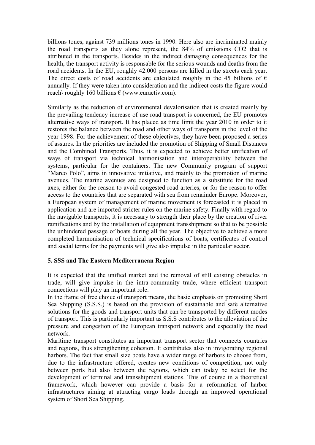billions tones, against 739 millions tones in 1990. Here also are incriminated mainly the road transports as they alone represent, the 84% of emissions CO2 that is attributed in the transports. Besides in the indirect damaging consequences for the health, the transport activity is responsable for the serious wounds and deaths from the road accidents. In the EU, roughly 42.000 persons are killed in the streets each year. The direct costs of road accidents are calculated roughly in the 45 billions of  $\epsilon$ annually. If they were taken into consideration and the indirect costs the figure would reach\ roughly 160 billions  $\epsilon$  (www.euractiv.com).

Similarly as the reduction of environmental devalorisation that is created mainly by the prevailing tendency increase of use road transport is concerned, the EU promotes alternative ways of transport. It has placed as time limit the year 2010 in order to it restores the balance between the road and other ways of transports in the level of the year 1998. For the achievement of these objectives, they have been proposed a series of assures. In the priorities are included the promotion of Shipping of Small Distances and the Combined Transports. Thus, it is expected to achieve better unification of ways of transport via technical harmonisation and interoperability between the systems, particular for the containers. The new Community program of support "Marco Polo", aims in innovative initiative, and mainly to the promotion of marine avenues. The marine avenues are designed to function as a substitute for the road axes, either for the reason to avoid congested road arteries, or for the reason to offer access to the countries that are separated with sea from remainder Europe. Moreover, a European system of management of marine movement is forecasted it is placed in application and are imported stricter rules on the marine safety. Finally with regard to the navigable transports, it is necessary to strength their place by the creation of river ramifications and by the installation of equipment transshipment so that to be possible the unhindered passage of boats during all the year. The objective to achieve a more completed harmonisation of technical specifications of boats, certificates of control and social terms for the payments will give also impulse in the particular sector.

## **5. SSS and The Eastern Mediterranean Region**

It is expected that the unified market and the removal of still existing obstacles in trade, will give impulse in the intra-community trade, where efficient transport connections will play an important role.

In the frame of free choice of transport means, the basic emphasis on promoting Short Sea Shipping (S.S.S.) is based on the provision of sustainable and safe alternative solutions for the goods and transport units that can be transported by different modes of transport. This is particularly important as S.S.S contributes to the alleviation of the pressure and congestion of the European transport network and especially the road network.

Maritime transport constitutes an important transport sector that connects countries and regions, thus strengthening cohesion. It contributes also in invigorating regional harbors. The fact that small size boats have a wider range of harbors to choose from, due to the infrastructure offered, creates new conditions of competition, not only between ports but also between the regions, which can today be select for the development of terminal and transshipment stations. This of course in a theoretical framework, which however can provide a basis for a reformation of harbor infrastructures aiming at attracting cargo loads through an improved operational system of Short Sea Shipping.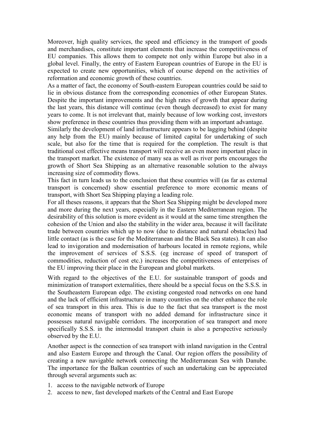Moreover, high quality services, the speed and efficiency in the transport of goods and merchandises, constitute important elements that increase the competitiveness of EU companies. This allows them to compete not only within Europe but also in a global level. Finally, the entry of Eastern European countries of Europe in the EU is expected to create new opportunities, which of course depend on the activities of reformation and economic growth of these countries.

As a matter of fact, the economy of South-eastern European countries could be said to lie in obvious distance from the corresponding economies of other European States. Despite the important improvements and the high rates of growth that appear during the last years, this distance will continue (even though decreased) to exist for many years to come. It is not irrelevant that, mainly because of low working cost, investors show preference in these countries thus providing them with an important advantage.

Similarly the development of land infrastructure appears to be lagging behind (despite any help from the EU) mainly because of limited capital for undertaking of such scale, but also for the time that is required for the completion. The result is that traditional cost effective means transport will receive an even more important place in the transport market. The existence of many sea as well as river ports encourages the growth of Short Sea Shipping as an alternative reasonable solution to the always increasing size of commodity flows.

This fact in turn leads us to the conclusion that these countries will (as far as external transport is concerned) show essential preference to more economic means of transport, with Short Sea Shipping playing a leading role.

For all theses reasons, it appears that the Short Sea Shipping might be developed more and more during the next years, especially in the Eastern Mediterranean region. The desirability of this solution is more evident as it would at the same time strengthen the cohesion of the Union and also the stability in the wider area, because it will facilitate trade between countries which up to now (due to distance and natural obstacles) had little contact (as is the case for the Mediterranean and the Black Sea states). It can also lead to invigoration and modernisation of harbours located in remote regions, while the improvement of services of S.S.S. (eg increase of speed of transport of commodities, reduction of cost etc.) increases the competitiveness of enterprises of the EU improving their place in the European and global markets.

With regard to the objectives of the E.U. for sustainable transport of goods and minimization of transport externalities, there should be a special focus on the S.S.S. in the Southeastern European edge. The existing congested road networks on one hand and the lack of efficient infrastructure in many countries on the other enhance the role of sea transport in this area. This is due to the fact that sea transport is the most economic means of transport with no added demand for infrastructure since it possesses natural navigable corridors. The incorporation of sea transport and more specifically S.S.S. in the intermodal transport chain is also a perspective seriously observed by the E.U.

Another aspect is the connection of sea transport with inland navigation in the Central and also Eastern Europe and through the Canal. Our region offers the possibility of creating a new navigable network connecting the Mediterranean Sea with Danube. The importance for the Balkan countries of such an undertaking can be appreciated through several arguments such as:

- 1. access to the navigable network of Europe
- 2. access to new, fast developed markets of the Central and East Europe